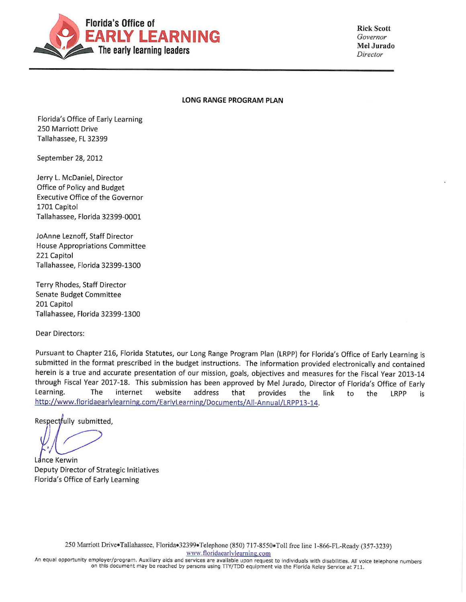

**Rick Scott** Governor Mel Jurado Director

#### LONG RANGE PROGRAM PLAN

Florida's Office of Early Learning 250 Marriott Drive Tallahassee, FL 32399

September 28, 2012

Jerry L. McDaniel, Director Office of Policy and Budget **Executive Office of the Governor** 1701 Capitol Tallahassee, Florida 32399-0001

JoAnne Leznoff, Staff Director House Appropriations Committee 221 Capitol Tallahassee, Florida 32399-1300

Terry Rhodes, Staff Director Senate Budget Committee 201 Capitol Tallahassee, Florida 32399-1300

Dear Directors:

Pursuant to Chapter 216, Florida Statutes, our Long Range Program Plan (LRPP) for Florida's Office of Early Learning is submitted in the format prescribed in the budget instructions. The information provided electronically and contained herein is a true and accurate presentation of our mission, goals, objectives and measures for the Fiscal Year 2013-14 through Fiscal Year 2017-18. This submission has been approved by Mel Jurado, Director of Florida's Office of Early Learning. The internet website address that provides the link to the LRPP is http://www.floridaearlylearning.com/EarlyLearning/Documents/All-Annual/LRPP13-14.

Respectfully submitted,

Lance Kerwin Deputy Director of Strategic Initiatives Florida's Office of Early Learning

250 Marriott Drive®Tallahassee, Florida®32399®Telephone (850) 717-8550®Toll free line 1-866-FL-Ready (357-3239) www.floridaearlylearning.com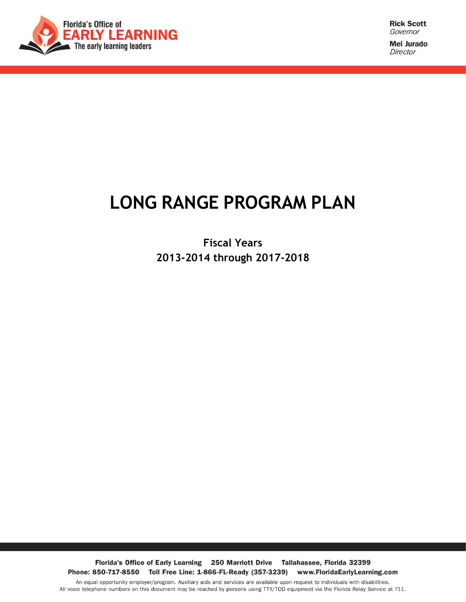<span id="page-1-0"></span>

**Mel Jurado** Director

# **LONG RANGE PROGRAM PLAN**

**Fiscal Years 2013-2014 through 2017-2018**

Florida's Office of Early Learning 250 Marriott Drive Tallahassee, Florida 32399 Phone: 850-717-8550 Toll Free Line: 1-866-FL-Ready (357-3239) www.FloridaEarlyLearning.com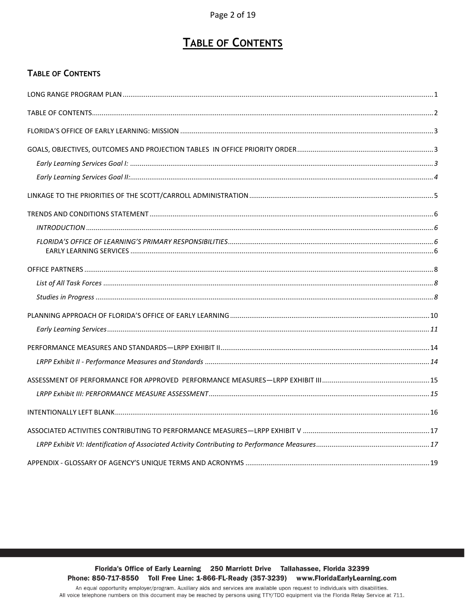# **TABLE OF CONTENTS**

#### <span id="page-2-0"></span>**TABLE OF CONTENTS**

Florida's Office of Early Learning 250 Marriott Drive Tallahassee, Florida 32399 Phone: 850-717-8550 Toll Free Line: 1-866-FL-Ready (357-3239) www.FloridaEarlyLearning.com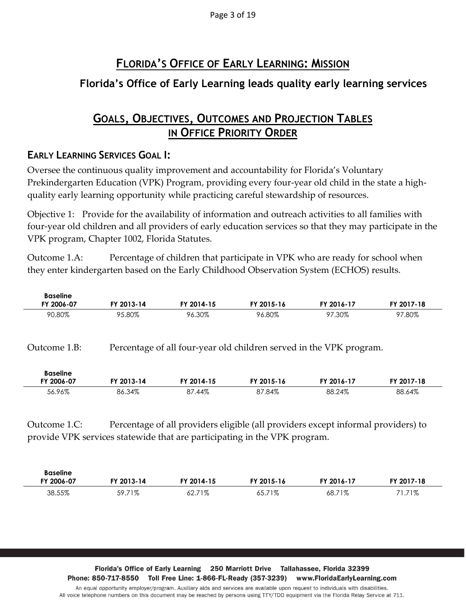Page 3 of 19

# **FLORIDA'S OFFICE OF EARLY LEARNING: MISSION**

### <span id="page-3-0"></span>**Florida's Office of Early Learning leads quality early learning services**

### **GOALS, OBJECTIVES, OUTCOMES AND PROJECTION TABLES IN OFFICE PRIORITY ORDER**

#### <span id="page-3-2"></span><span id="page-3-1"></span>**EARLY LEARNING SERVICES GOAL I:**

Oversee the continuous quality improvement and accountability for Florida's Voluntary Prekindergarten Education (VPK) Program, providing every four-year old child in the state a highquality early learning opportunity while practicing careful stewardship of resources.

Objective 1: Provide for the availability of information and outreach activities to all families with four-year old children and all providers of early education services so that they may participate in the VPK program, Chapter 1002, Florida Statutes.

Outcome 1.A: Percentage of children that participate in VPK who are ready for school when they enter kindergarten based on the Early Childhood Observation System (ECHOS) results.

| <b>Baseline</b><br>FY 2006-07                                                                                                                                                  | FY 2013-14                                                          | FY 2014-15<br>FY 2015-16<br>FY 2016-17 |            | FY 2017-18 |            |  |  |
|--------------------------------------------------------------------------------------------------------------------------------------------------------------------------------|---------------------------------------------------------------------|----------------------------------------|------------|------------|------------|--|--|
| 90.80%                                                                                                                                                                         | 95.80%                                                              | 96.30%                                 | 96.80%     | 97.30%     | 97.80%     |  |  |
| Outcome 1.B:                                                                                                                                                                   | Percentage of all four-year old children served in the VPK program. |                                        |            |            |            |  |  |
| <b>Baseline</b><br>FY 2006-07                                                                                                                                                  | FY 2013-14                                                          | FY 2014-15                             | FY 2015-16 | FY 2016-17 | FY 2017-18 |  |  |
| 56.96%                                                                                                                                                                         | 86.34%                                                              | 87.44%                                 | 87.84%     | 88.24%     | 88.64%     |  |  |
| Percentage of all providers eligible (all providers except informal providers) to<br>Outcome 1.C:<br>provide VPK services statewide that are participating in the VPK program. |                                                                     |                                        |            |            |            |  |  |

| <b>Baseline</b><br>FY 2006-07 | FY 2013-14 | FY 2014-15  | FY 2015-16  | FY 2016-17  | FY 2017-18 |
|-------------------------------|------------|-------------|-------------|-------------|------------|
| 38.55%                        | 59.71%     | 71%<br>52.7 | 71%<br>65.7 | 71%<br>68., | $1.71\%$   |

Florida's Office of Early Learning 250 Marriott Drive Tallahassee, Florida 32399 Phone: 850-717-8550 Toll Free Line: 1-866-FL-Ready (357-3239) www.FloridaEarlyLearning.com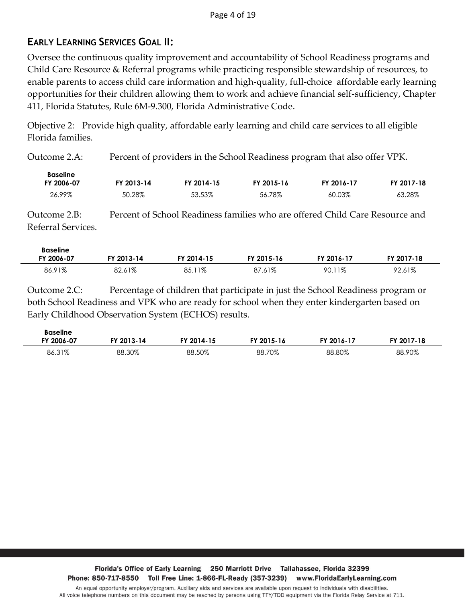#### <span id="page-4-0"></span>**EARLY LEARNING SERVICES GOAL II:**

Oversee the continuous quality improvement and accountability of School Readiness programs and Child Care Resource & Referral programs while practicing responsible stewardship of resources, to enable parents to access child care information and high-quality, full-choice affordable early learning opportunities for their children allowing them to work and achieve financial self-sufficiency, Chapter 411, Florida Statutes, Rule 6M-9.300, Florida Administrative Code.

Objective 2: Provide high quality, affordable early learning and child care services to all eligible Florida families.

Outcome 2.A: Percent of providers in the School Readiness program that also offer VPK.

| <b>Baseline</b><br>FY 2006-07 | TY 2013-14 | FY 2014-15 | FY 2015-16 | <b>FY 2016-1.</b> | FY 2017-18 |
|-------------------------------|------------|------------|------------|-------------------|------------|
| 26.99%                        | 50.28%     | 53.53%     | 56.78%     | 60.03%            | 63.28%     |

Outcome 2.B: Percent of School Readiness families who are offered Child Care Resource and Referral Services.

| <b>Baseline</b> |            |            |             |            |            |
|-----------------|------------|------------|-------------|------------|------------|
| FY 2006-07      | FY 2013-14 | FY 2014-15 | FY 2015-16  | FY 2016-17 | FY 2017-18 |
| 86.91%          | 82.61%     | 85.11%     | 87<br>'.61% | 90.11%     | 92.61%     |

Outcome 2.C: Percentage of children that participate in just the School Readiness program or both School Readiness and VPK who are ready for school when they enter kindergarten based on Early Childhood Observation System (ECHOS) results.

| <b>Baseline</b><br>FY 2006-07 | FY 2013-14 | FY 2014-15 | FY 2015-16 | FY 2016-17 | FY 2017-18 |
|-------------------------------|------------|------------|------------|------------|------------|
| 86.31%                        | 88.30%     | 88.50%     | 88.70%     | 88.80%     | 88.90%     |

Florida's Office of Early Learning 250 Marriott Drive Tallahassee, Florida 32399 Phone: 850-717-8550 Toll Free Line: 1-866-FL-Ready (357-3239) www.FloridaEarlyLearning.com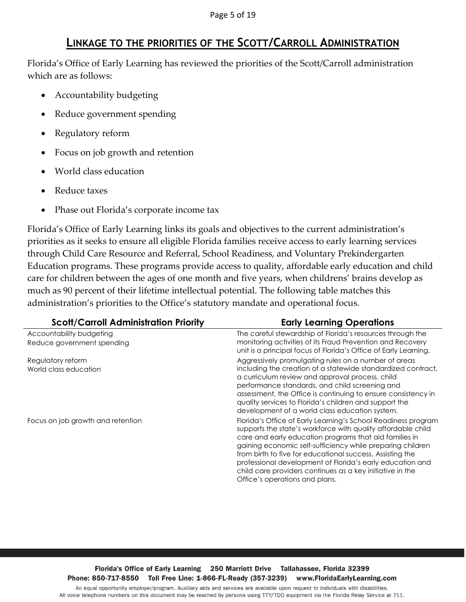### **LINKAGE TO THE PRIORITIES OF THE SCOTT/CARROLL ADMINISTRATION**

<span id="page-5-0"></span>Florida's Office of Early Learning has reviewed the priorities of the Scott/Carroll administration which are as follows:

- Accountability budgeting
- Reduce government spending
- Regulatory reform
- Focus on job growth and retention
- World class education
- Reduce taxes
- Phase out Florida's corporate income tax

Florida's Office of Early Learning links its goals and objectives to the current administration's priorities as it seeks to ensure all eligible Florida families receive access to early learning services through Child Care Resource and Referral, School Readiness, and Voluntary Prekindergarten Education programs. These programs provide access to quality, affordable early education and child care for children between the ages of one month and five years, when childrens' brains develop as much as 90 percent of their lifetime intellectual potential. The following table matches this administration's priorities to the Office's statutory mandate and operational focus.

| <b>Scott/Carroll Administration Priority</b>           | <b>Early Learning Operations</b>                                                                                                                                                                                                                                                                                                                                                                                                                                               |
|--------------------------------------------------------|--------------------------------------------------------------------------------------------------------------------------------------------------------------------------------------------------------------------------------------------------------------------------------------------------------------------------------------------------------------------------------------------------------------------------------------------------------------------------------|
| Accountability budgeting<br>Reduce government spending | The careful stewardship of Florida's resources through the<br>monitoring activities of its Fraud Prevention and Recovery<br>unit is a principal focus of Florida's Office of Early Learning.                                                                                                                                                                                                                                                                                   |
| Regulatory reform<br>World class education             | Aggressively promulgating rules on a number of areas<br>including the creation of a statewide standardized contract,<br>a curriculum review and approval process, child<br>performance standards, and child screening and<br>assessment, the Office is continuing to ensure consistency in<br>quality services to Florida's children and support the<br>development of a world class education system.                                                                         |
| Focus on job growth and retention                      | Florida's Office of Early Learning's School Readiness program<br>supports the state's workforce with quality affordable child<br>care and early education programs that aid families in<br>gaining economic self-sufficiency while preparing children<br>from birth to five for educational success. Assisting the<br>professional development of Florida's early education and<br>child care providers continues as a key initiative in the<br>Office's operations and plans. |

#### Florida's Office of Early Learning 250 Marriott Drive Tallahassee, Florida 32399 Phone: 850-717-8550 Toll Free Line: 1-866-FL-Ready (357-3239) www.FloridaEarlyLearning.com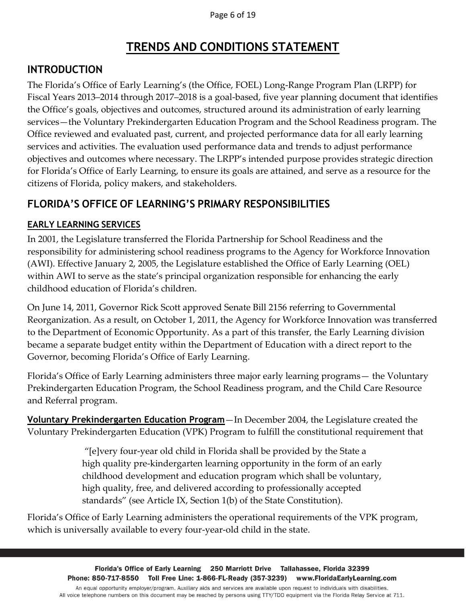# **TRENDS AND CONDITIONS STATEMENT**

### <span id="page-6-1"></span><span id="page-6-0"></span>**INTRODUCTION**

The Florida's Office of Early Learning's (the Office, FOEL) Long-Range Program Plan (LRPP) for Fiscal Years 2013–2014 through 2017–2018 is a goal-based, five year planning document that identifies the Office's goals, objectives and outcomes, structured around its administration of early learning services—the Voluntary Prekindergarten Education Program and the School Readiness program. The Office reviewed and evaluated past, current, and projected performance data for all early learning services and activities. The evaluation used performance data and trends to adjust performance objectives and outcomes where necessary. The LRPP's intended purpose provides strategic direction for Florida's Office of Early Learning, to ensure its goals are attained, and serve as a resource for the citizens of Florida, policy makers, and stakeholders.

### <span id="page-6-2"></span>**FLORIDA'S OFFICE OF LEARNING'S PRIMARY RESPONSIBILITIES**

#### <span id="page-6-3"></span>**EARLY LEARNING SERVICES**

In 2001, the Legislature transferred the Florida Partnership for School Readiness and the responsibility for administering school readiness programs to the Agency for Workforce Innovation (AWI). Effective January 2, 2005, the Legislature established the Office of Early Learning (OEL) within AWI to serve as the state's principal organization responsible for enhancing the early childhood education of Florida's children.

On June 14, 2011, Governor Rick Scott approved Senate Bill 2156 referring to Governmental Reorganization. As a result, on October 1, 2011, the Agency for Workforce Innovation was transferred to the Department of Economic Opportunity. As a part of this transfer, the Early Learning division became a separate budget entity within the Department of Education with a direct report to the Governor, becoming Florida's Office of Early Learning.

Florida's Office of Early Learning administers three major early learning programs— the Voluntary Prekindergarten Education Program, the School Readiness program, and the Child Care Resource and Referral program.

**Voluntary Prekindergarten Education Program**—In December 2004, the Legislature created the Voluntary Prekindergarten Education (VPK) Program to fulfill the constitutional requirement that

> "[e]very four-year old child in Florida shall be provided by the State a high quality pre-kindergarten learning opportunity in the form of an early childhood development and education program which shall be voluntary, high quality, free, and delivered according to professionally accepted standards" (see Article IX, Section 1(b) of the State Constitution).

Florida's Office of Early Learning administers the operational requirements of the VPK program, which is universally available to every four-year-old child in the state.

> Florida's Office of Early Learning 250 Marriott Drive Tallahassee, Florida 32399 Phone: 850-717-8550 Toll Free Line: 1-866-FL-Ready (357-3239) www.FloridaEarlyLearning.com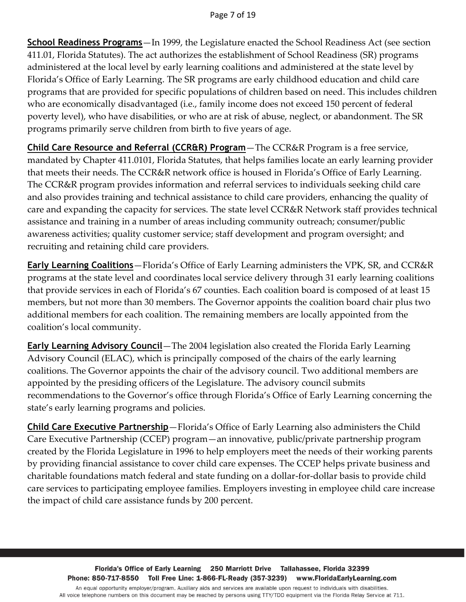**School Readiness Programs**—In 1999, the Legislature enacted the School Readiness Act (see section 411.01, Florida Statutes). The act authorizes the establishment of School Readiness (SR) programs administered at the local level by early learning coalitions and administered at the state level by Florida's Office of Early Learning. The SR programs are early childhood education and child care programs that are provided for specific populations of children based on need. This includes children who are economically disadvantaged (i.e., family income does not exceed 150 percent of federal poverty level), who have disabilities, or who are at risk of abuse, neglect, or abandonment. The SR programs primarily serve children from birth to five years of age.

**Child Care Resource and Referral (CCR&R) Program**—The CCR&R Program is a free service, mandated by Chapter 411.0101, Florida Statutes, that helps families locate an early learning provider that meets their needs. The CCR&R network office is housed in Florida's Office of Early Learning. The CCR&R program provides information and referral services to individuals seeking child care and also provides training and technical assistance to child care providers, enhancing the quality of care and expanding the capacity for services. The state level CCR&R Network staff provides technical assistance and training in a number of areas including community outreach; consumer/public awareness activities; quality customer service; staff development and program oversight; and recruiting and retaining child care providers.

**Early Learning Coalitions**—Florida's Office of Early Learning administers the VPK, SR, and CCR&R programs at the state level and coordinates local service delivery through 31 early learning coalitions that provide services in each of Florida's 67 counties. Each coalition board is composed of at least 15 members, but not more than 30 members. The Governor appoints the coalition board chair plus two additional members for each coalition. The remaining members are locally appointed from the coalition's local community.

**Early Learning Advisory Council**—The 2004 legislation also created the Florida Early Learning Advisory Council (ELAC), which is principally composed of the chairs of the early learning coalitions. The Governor appoints the chair of the advisory council. Two additional members are appointed by the presiding officers of the Legislature. The advisory council submits recommendations to the Governor's office through Florida's Office of Early Learning concerning the state's early learning programs and policies.

**Child Care Executive Partnership**—Florida's Office of Early Learning also administers the Child Care Executive Partnership (CCEP) program—an innovative, public/private partnership program created by the Florida Legislature in 1996 to help employers meet the needs of their working parents by providing financial assistance to cover child care expenses. The CCEP helps private business and charitable foundations match federal and state funding on a dollar-for-dollar basis to provide child care services to participating employee families. Employers investing in employee child care increase the impact of child care assistance funds by 200 percent.

Florida's Office of Early Learning 250 Marriott Drive Tallahassee, Florida 32399 Phone: 850-717-8550 Toll Free Line: 1-866-FL-Ready (357-3239) www.FloridaEarlyLearning.com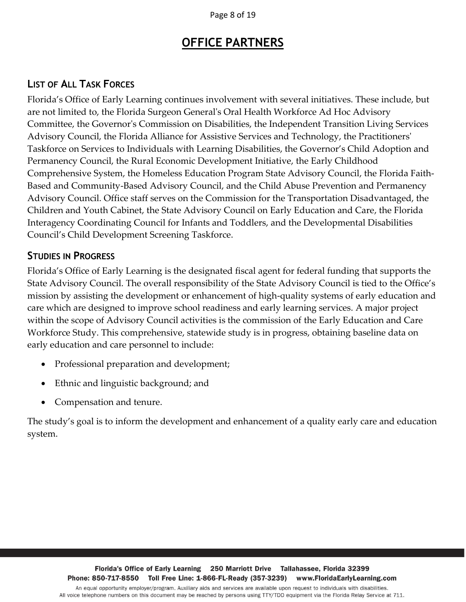Page 8 of 19

## **OFFICE PARTNERS**

#### <span id="page-8-1"></span><span id="page-8-0"></span>**LIST OF ALL TASK FORCES**

Florida's Office of Early Learning continues involvement with several initiatives. These include, but are not limited to, the Florida Surgeon General's Oral Health Workforce Ad Hoc Advisory Committee, the Governor's Commission on Disabilities, the Independent Transition Living Services Advisory Council, the Florida Alliance for Assistive Services and Technology, the Practitioners' Taskforce on Services to Individuals with Learning Disabilities, the Governor's Child Adoption and Permanency Council, the Rural Economic Development Initiative, the Early Childhood Comprehensive System, the Homeless Education Program State Advisory Council, the Florida Faith-Based and Community-Based Advisory Council, and the Child Abuse Prevention and Permanency Advisory Council. Office staff serves on the Commission for the Transportation Disadvantaged, the Children and Youth Cabinet, the State Advisory Council on Early Education and Care, the Florida Interagency Coordinating Council for Infants and Toddlers, and the Developmental Disabilities Council's Child Development Screening Taskforce.

#### <span id="page-8-2"></span>**STUDIES IN PROGRESS**

Florida's Office of Early Learning is the designated fiscal agent for federal funding that supports the State Advisory Council. The overall responsibility of the State Advisory Council is tied to the Office's mission by assisting the development or enhancement of high-quality systems of early education and care which are designed to improve school readiness and early learning services. A major project within the scope of Advisory Council activities is the commission of the Early Education and Care Workforce Study. This comprehensive, statewide study is in progress, obtaining baseline data on early education and care personnel to include:

- Professional preparation and development;
- Ethnic and linguistic background; and
- Compensation and tenure.

The study's goal is to inform the development and enhancement of a quality early care and education system.

Florida's Office of Early Learning 250 Marriott Drive Tallahassee, Florida 32399 Phone: 850-717-8550 Toll Free Line: 1-866-FL-Ready (357-3239) www.FloridaEarlyLearning.com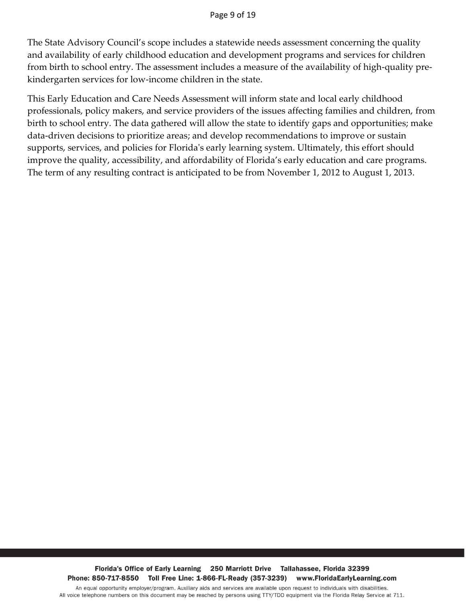The State Advisory Council's scope includes a statewide needs assessment concerning the quality and availability of early childhood education and development programs and services for children from birth to school entry. The assessment includes a measure of the availability of high-quality prekindergarten services for low-income children in the state.

This Early Education and Care Needs Assessment will inform state and local early childhood professionals, policy makers, and service providers of the issues affecting families and children, from birth to school entry. The data gathered will allow the state to identify gaps and opportunities; make data-driven decisions to prioritize areas; and develop recommendations to improve or sustain supports, services, and policies for Florida's early learning system. Ultimately, this effort should improve the quality, accessibility, and affordability of Florida's early education and care programs. The term of any resulting contract is anticipated to be from November 1, 2012 to August 1, 2013.

Florida's Office of Early Learning 250 Marriott Drive Tallahassee, Florida 32399 Phone: 850-717-8550 Toll Free Line: 1-866-FL-Ready (357-3239) www.FloridaEarlyLearning.com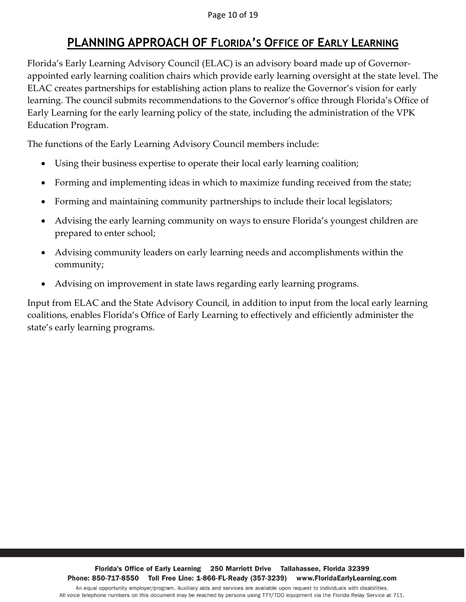#### Page 10 of 19

# **PLANNING APPROACH OF FLORIDA'S OFFICE OF EARLY LEARNING**

<span id="page-10-0"></span>Florida's Early Learning Advisory Council (ELAC) is an advisory board made up of Governorappointed early learning coalition chairs which provide early learning oversight at the state level. The ELAC creates partnerships for establishing action plans to realize the Governor's vision for early learning. The council submits recommendations to the Governor's office through Florida's Office of Early Learning for the early learning policy of the state, including the administration of the VPK Education Program.

The functions of the Early Learning Advisory Council members include:

- Using their business expertise to operate their local early learning coalition;
- Forming and implementing ideas in which to maximize funding received from the state;
- Forming and maintaining community partnerships to include their local legislators;
- Advising the early learning community on ways to ensure Florida's youngest children are prepared to enter school;
- Advising community leaders on early learning needs and accomplishments within the community;
- Advising on improvement in state laws regarding early learning programs.

Input from ELAC and the State Advisory Council, in addition to input from the local early learning coalitions, enables Florida's Office of Early Learning to effectively and efficiently administer the state's early learning programs.

Florida's Office of Early Learning 250 Marriott Drive Tallahassee, Florida 32399 Phone: 850-717-8550 Toll Free Line: 1-866-FL-Ready (357-3239) www.FloridaEarlyLearning.com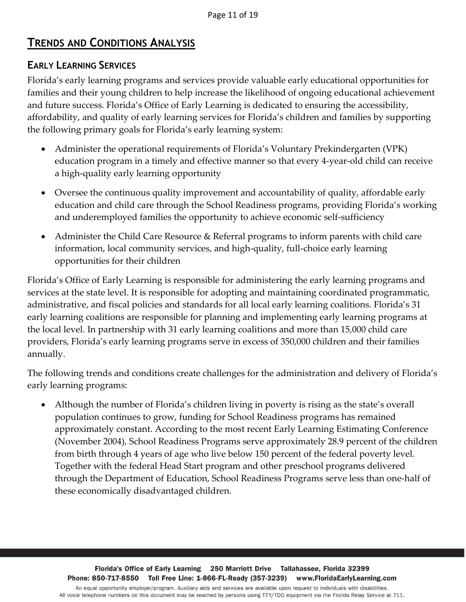### **TRENDS AND CONDITIONS ANALYSIS**

#### <span id="page-11-0"></span>**EARLY LEARNING SERVICES**

Florida's early learning programs and services provide valuable early educational opportunities for families and their young children to help increase the likelihood of ongoing educational achievement and future success. Florida's Office of Early Learning is dedicated to ensuring the accessibility, affordability, and quality of early learning services for Florida's children and families by supporting the following primary goals for Florida's early learning system:

- Administer the operational requirements of Florida's Voluntary Prekindergarten (VPK) education program in a timely and effective manner so that every 4-year-old child can receive a high-quality early learning opportunity
- Oversee the continuous quality improvement and accountability of quality, affordable early education and child care through the School Readiness programs, providing Florida's working and underemployed families the opportunity to achieve economic self-sufficiency
- Administer the Child Care Resource & Referral programs to inform parents with child care information, local community services, and high-quality, full-choice early learning opportunities for their children

Florida's Office of Early Learning is responsible for administering the early learning programs and services at the state level. It is responsible for adopting and maintaining coordinated programmatic, administrative, and fiscal policies and standards for all local early learning coalitions. Florida's 31 early learning coalitions are responsible for planning and implementing early learning programs at the local level. In partnership with 31 early learning coalitions and more than 15,000 child care providers, Florida's early learning programs serve in excess of 350,000 children and their families annually.

The following trends and conditions create challenges for the administration and delivery of Florida's early learning programs:

 Although the number of Florida's children living in poverty is rising as the state's overall population continues to grow, funding for School Readiness programs has remained approximately constant. According to the most recent Early Learning Estimating Conference (November 2004), School Readiness Programs serve approximately 28.9 percent of the children from birth through 4 years of age who live below 150 percent of the federal poverty level. Together with the federal Head Start program and other preschool programs delivered through the Department of Education, School Readiness Programs serve less than one-half of these economically disadvantaged children.

Florida's Office of Early Learning 250 Marriott Drive Tallahassee, Florida 32399 Phone: 850-717-8550 Toll Free Line: 1-866-FL-Ready (357-3239) www.FloridaEarlyLearning.com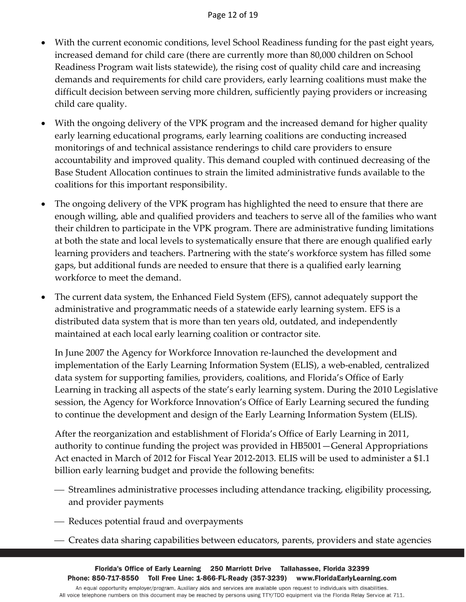- With the current economic conditions, level School Readiness funding for the past eight years, increased demand for child care (there are currently more than 80,000 children on School Readiness Program wait lists statewide), the rising cost of quality child care and increasing demands and requirements for child care providers, early learning coalitions must make the difficult decision between serving more children, sufficiently paying providers or increasing child care quality.
- With the ongoing delivery of the VPK program and the increased demand for higher quality early learning educational programs, early learning coalitions are conducting increased monitorings of and technical assistance renderings to child care providers to ensure accountability and improved quality. This demand coupled with continued decreasing of the Base Student Allocation continues to strain the limited administrative funds available to the coalitions for this important responsibility.
- The ongoing delivery of the VPK program has highlighted the need to ensure that there are enough willing, able and qualified providers and teachers to serve all of the families who want their children to participate in the VPK program. There are administrative funding limitations at both the state and local levels to systematically ensure that there are enough qualified early learning providers and teachers. Partnering with the state's workforce system has filled some gaps, but additional funds are needed to ensure that there is a qualified early learning workforce to meet the demand.
- The current data system, the Enhanced Field System (EFS), cannot adequately support the administrative and programmatic needs of a statewide early learning system. EFS is a distributed data system that is more than ten years old, outdated, and independently maintained at each local early learning coalition or contractor site.

In June 2007 the Agency for Workforce Innovation re-launched the development and implementation of the Early Learning Information System (ELIS), a web-enabled, centralized data system for supporting families, providers, coalitions, and Florida's Office of Early Learning in tracking all aspects of the state's early learning system. During the 2010 Legislative session, the Agency for Workforce Innovation's Office of Early Learning secured the funding to continue the development and design of the Early Learning Information System (ELIS).

After the reorganization and establishment of Florida's Office of Early Learning in 2011, authority to continue funding the project was provided in HB5001—General Appropriations Act enacted in March of 2012 for Fiscal Year 2012-2013. ELIS will be used to administer a \$1.1 billion early learning budget and provide the following benefits:

- Streamlines administrative processes including attendance tracking, eligibility processing, and provider payments
- Reduces potential fraud and overpayments
- Creates data sharing capabilities between educators, parents, providers and state agencies

Florida's Office of Early Learning 250 Marriott Drive Tallahassee, Florida 32399 Phone: 850-717-8550 Toll Free Line: 1-866-FL-Ready (357-3239) www.FloridaEarlyLearning.com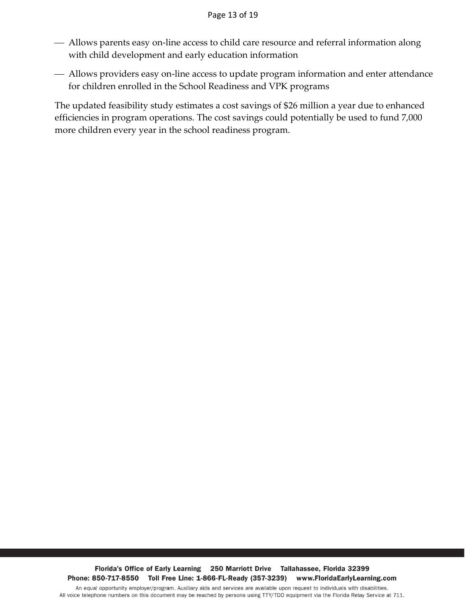- Allows parents easy on-line access to child care resource and referral information along with child development and early education information
- Allows providers easy on-line access to update program information and enter attendance for children enrolled in the School Readiness and VPK programs

The updated feasibility study estimates a cost savings of \$26 million a year due to enhanced efficiencies in program operations. The cost savings could potentially be used to fund 7,000 more children every year in the school readiness program.

Florida's Office of Early Learning 250 Marriott Drive Tallahassee, Florida 32399 Phone: 850-717-8550 Toll Free Line: 1-866-FL-Ready (357-3239) www.FloridaEarlyLearning.com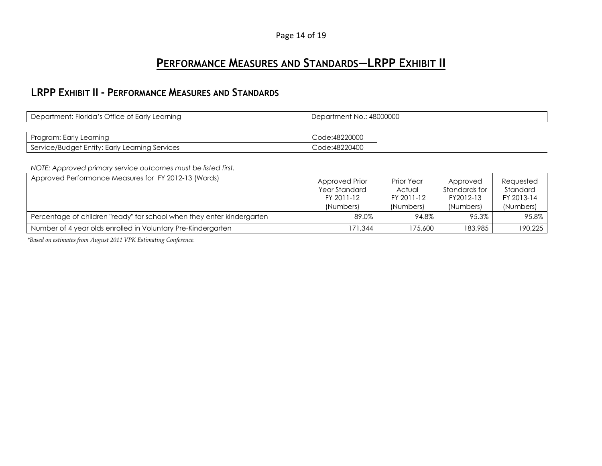#### Page 14 of 19

### **PERFORMANCE MEASURES AND STANDARDS—LRPP EXHIBIT II**

#### **LRPP EXHIBIT II - PERFORMANCE MEASURES AND STANDARDS**

| Department: Florida's Office of Early Learning | Department No.: 48000000 |  |
|------------------------------------------------|--------------------------|--|
|                                                |                          |  |
| Program: Early Learning                        | Code:48220000            |  |
| Service/Budget Entity: Early Learning Services | Code:48220400            |  |

*NOTE: Approved primary service outcomes must be listed first.*

<span id="page-14-0"></span>

| Approved Performance Measures for FY 2012-13 (Words)                   | Approved Prior<br>Year Standard<br>FY 2011-12<br>(Numbers) | Prior Year<br>Actual<br>FY 2011-12<br>(Numbers) | Approved<br>Standards for<br>FY2012-13<br>(Numbers) | Requested<br>Standard<br>FY 2013-14<br>(Numbers) |
|------------------------------------------------------------------------|------------------------------------------------------------|-------------------------------------------------|-----------------------------------------------------|--------------------------------------------------|
| Percentage of children "ready" for school when they enter kindergarten | 89.0%                                                      | 94.8%                                           | 95.3%                                               | 95.8%                                            |
| Number of 4 year olds enrolled in Voluntary Pre-Kindergarten           | 171.344                                                    | 175,600                                         | 183,985                                             | 190,225                                          |

<span id="page-14-1"></span>*\*Based on estimates from August 2011 VPK Estimating Conference.*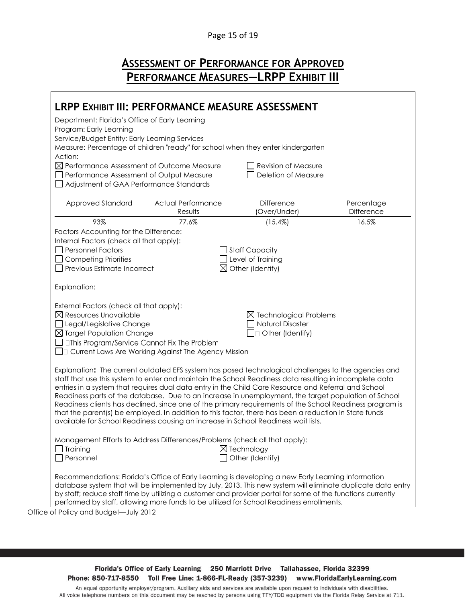#### Page 15 of 19

## **ASSESSMENT OF PERFORMANCE FOR APPROVED PERFORMANCE MEASURES—LRPP EXHIBIT III**

<span id="page-15-1"></span><span id="page-15-0"></span>

| LRPP EXHIBIT III: PERFORMANCE MEASURE ASSESSMENT                                                                                                                                                             |                           |                                                               |                                                                                                             |
|--------------------------------------------------------------------------------------------------------------------------------------------------------------------------------------------------------------|---------------------------|---------------------------------------------------------------|-------------------------------------------------------------------------------------------------------------|
| Department: Florida's Office of Early Learning                                                                                                                                                               |                           |                                                               |                                                                                                             |
| Program: Early Learning                                                                                                                                                                                      |                           |                                                               |                                                                                                             |
| Service/Budget Entity: Early Learning Services                                                                                                                                                               |                           |                                                               |                                                                                                             |
| Measure: Percentage of children "ready" for school when they enter kindergarten<br>Action:                                                                                                                   |                           |                                                               |                                                                                                             |
| $\boxtimes$ Performance Assessment of Outcome Measure                                                                                                                                                        |                           | <b>Revision of Measure</b>                                    |                                                                                                             |
| Performance Assessment of Output Measure                                                                                                                                                                     |                           | Deletion of Measure                                           |                                                                                                             |
| Adjustment of GAA Performance Standards                                                                                                                                                                      |                           |                                                               |                                                                                                             |
| Approved Standard                                                                                                                                                                                            | <b>Actual Performance</b> | <b>Difference</b>                                             | Percentage                                                                                                  |
|                                                                                                                                                                                                              | Results                   | (Over/Under)                                                  | Difference                                                                                                  |
| 93%<br>Factors Accounting for the Difference:                                                                                                                                                                | 77.6%                     | (15.4%)                                                       | 16.5%                                                                                                       |
| Internal Factors (check all that apply):                                                                                                                                                                     |                           |                                                               |                                                                                                             |
| <b>Personnel Factors</b>                                                                                                                                                                                     |                           | <b>Staff Capacity</b>                                         |                                                                                                             |
| <b>Competing Priorities</b>                                                                                                                                                                                  |                           | Level of Training                                             |                                                                                                             |
| Previous Estimate Incorrect                                                                                                                                                                                  | ⊠                         | Other (Identify)                                              |                                                                                                             |
| Explanation:                                                                                                                                                                                                 |                           |                                                               |                                                                                                             |
|                                                                                                                                                                                                              |                           |                                                               |                                                                                                             |
| External Factors (check all that apply):<br>$\boxtimes$ Resources Unavailable                                                                                                                                |                           |                                                               |                                                                                                             |
| Legal/Legislative Change                                                                                                                                                                                     |                           | $\boxtimes$ Technological Problems<br><b>Natural Disaster</b> |                                                                                                             |
| $\boxtimes$ Target Population Change                                                                                                                                                                         |                           | □ Other (Identify)                                            |                                                                                                             |
| $\Box$ $\Box$ This Program/Service Cannot Fix The Problem                                                                                                                                                    |                           |                                                               |                                                                                                             |
| □ Current Laws Are Working Against The Agency Mission                                                                                                                                                        |                           |                                                               |                                                                                                             |
| Explanation: The current outdated EFS system has posed technological challenges to the agencies and                                                                                                          |                           |                                                               |                                                                                                             |
| staff that use this system to enter and maintain the School Readiness data resulting in incomplete data                                                                                                      |                           |                                                               |                                                                                                             |
| entries in a system that requires dual data entry in the Child Care Resource and Referral and School<br>Readiness parts of the database. Due to an increase in unemployment, the target population of School |                           |                                                               |                                                                                                             |
| Readiness clients has declined, since one of the primary requirements of the School Readiness program is                                                                                                     |                           |                                                               |                                                                                                             |
| that the parent(s) be employed. In addition to this factor, there has been a reduction in State funds<br>available for School Readiness causing an increase in School Readiness wait lists.                  |                           |                                                               |                                                                                                             |
|                                                                                                                                                                                                              |                           |                                                               |                                                                                                             |
| Management Efforts to Address Differences/Problems (check all that apply):                                                                                                                                   |                           |                                                               |                                                                                                             |
| Training                                                                                                                                                                                                     |                           | $\boxtimes$ Technology                                        |                                                                                                             |
| Personnel                                                                                                                                                                                                    |                           | Other (Identify)                                              |                                                                                                             |
| Recommendations: Florida's Office of Early Learning is developing a new Early Learning Information                                                                                                           |                           |                                                               |                                                                                                             |
|                                                                                                                                                                                                              |                           |                                                               | database system that will be implemented by July, 2013. This new system will eliminate duplicate data entry |
| by staff; reduce staff time by utilizing a customer and provider portal for some of the functions currently<br>performed by staff, allowing more funds to be utilized for School Readiness enrollments.      |                           |                                                               |                                                                                                             |
| of Policy and Rudget - July 2012                                                                                                                                                                             |                           |                                                               |                                                                                                             |

Office of Policy and Budget—July 2012

Florida's Office of Early Learning 250 Marriott Drive Tallahassee, Florida 32399 Phone: 850-717-8550 Toll Free Line: 1-866-FL-Ready (357-3239) www.FloridaEarlyLearning.com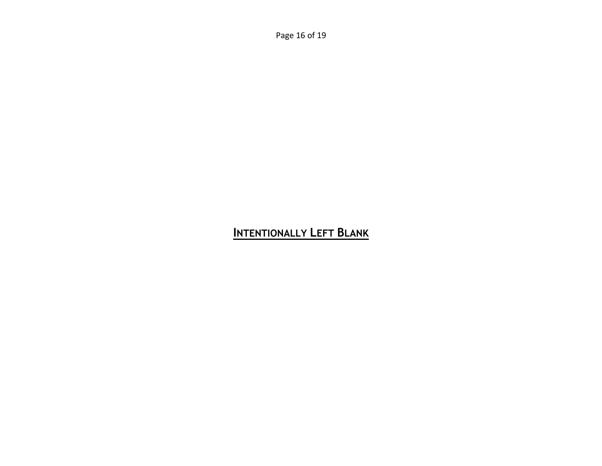Page 16 of 19

# <span id="page-16-0"></span>INTENTIONALLY LEFT BLANK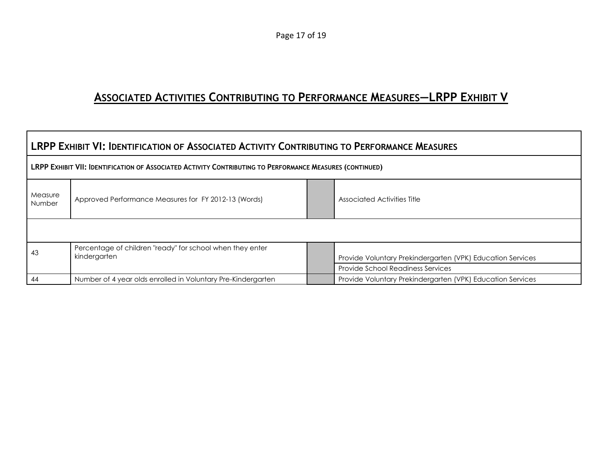# **ASSOCIATED ACTIVITIES CONTRIBUTING TO PERFORMANCE MEASURES—LRPP EXHIBIT V**

<span id="page-17-1"></span><span id="page-17-0"></span>

| <b>LRPP EXHIBIT VI: IDENTIFICATION OF ASSOCIATED ACTIVITY CONTRIBUTING TO PERFORMANCE MEASURES</b>              |                                                                                                          |  |                                                            |  |  |  |  |
|-----------------------------------------------------------------------------------------------------------------|----------------------------------------------------------------------------------------------------------|--|------------------------------------------------------------|--|--|--|--|
|                                                                                                                 | LRPP EXHIBIT VII: IDENTIFICATION OF ASSOCIATED ACTIVITY CONTRIBUTING TO PERFORMANCE MEASURES (CONTINUED) |  |                                                            |  |  |  |  |
| Measure<br>Approved Performance Measures for FY 2012-13 (Words)<br>Associated Activities Title<br><b>Number</b> |                                                                                                          |  |                                                            |  |  |  |  |
|                                                                                                                 |                                                                                                          |  |                                                            |  |  |  |  |
| 43                                                                                                              | Percentage of children "ready" for school when they enter<br>kindergarten                                |  | Provide Voluntary Prekindergarten (VPK) Education Services |  |  |  |  |
|                                                                                                                 |                                                                                                          |  | <b>Provide School Readiness Services</b>                   |  |  |  |  |
| 44                                                                                                              | Number of 4 year olds enrolled in Voluntary Pre-Kindergarten                                             |  | Provide Voluntary Prekindergarten (VPK) Education Services |  |  |  |  |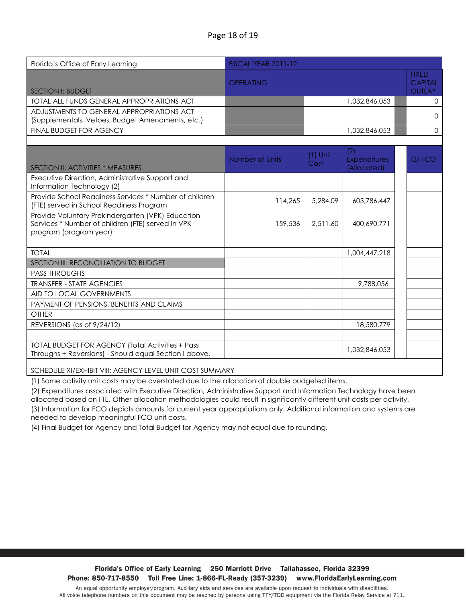#### Page 18 of 19

| Florida's Office of Early Learning                                                                                               | <b>FISCAL YEAR 2011-12</b> |                    |                                           |  |                                                 |
|----------------------------------------------------------------------------------------------------------------------------------|----------------------------|--------------------|-------------------------------------------|--|-------------------------------------------------|
| <b>SECTION I: BUDGET</b>                                                                                                         | <b>OPERATING</b>           |                    |                                           |  | <b>FIXED</b><br><b>CAPITAL</b><br><b>OUTLAY</b> |
| TOTAL ALL FUNDS GENERAL APPROPRIATIONS ACT                                                                                       |                            |                    | 1,032,846,053                             |  | $\Omega$                                        |
| ADJUSTMENTS TO GENERAL APPROPRIATIONS ACT<br>(Supplementals, Vetoes, Budget Amendments, etc.)                                    |                            |                    |                                           |  | $\Omega$                                        |
| FINAL BUDGET FOR AGENCY                                                                                                          |                            |                    | 1.032.846.053                             |  | $\mathbf 0$                                     |
|                                                                                                                                  |                            |                    |                                           |  |                                                 |
| <b>SECTION II: ACTIVITIES * MEASURES</b>                                                                                         | Number of Units            | $(1)$ Unit<br>Cost | (2)<br><b>Expenditures</b><br>(Allocated) |  | $(3)$ FCO                                       |
| Executive Direction, Administrative Support and<br>Information Technology (2)                                                    |                            |                    |                                           |  |                                                 |
| Provide School Readiness Services * Number of children<br>(FTE) served in School Readiness Program                               | 114,265                    | 5,284.09           | 603.786.447                               |  |                                                 |
| Provide Voluntary Prekindergarten (VPK) Education<br>Services * Number of children (FTE) served in VPK<br>program (program year) | 159,536                    | 2.511.60           | 400,690,771                               |  |                                                 |
|                                                                                                                                  |                            |                    |                                           |  |                                                 |
| <b>TOTAL</b>                                                                                                                     |                            |                    | 1,004,447,218                             |  |                                                 |
| SECTION III: RECONCILIATION TO BUDGET                                                                                            |                            |                    |                                           |  |                                                 |
| <b>PASS THROUGHS</b>                                                                                                             |                            |                    |                                           |  |                                                 |
| <b>TRANSFER - STATE AGENCIES</b>                                                                                                 |                            |                    | 9.788.056                                 |  |                                                 |
| AID TO LOCAL GOVERNMENTS                                                                                                         |                            |                    |                                           |  |                                                 |
| PAYMENT OF PENSIONS, BENEFITS AND CLAIMS                                                                                         |                            |                    |                                           |  |                                                 |
| OTHER                                                                                                                            |                            |                    |                                           |  |                                                 |
| REVERSIONS (as of 9/24/12)                                                                                                       |                            |                    | 18,580,779                                |  |                                                 |
| <b>TOTAL BUDGET FOR AGENCY (Total Activities + Pass</b><br>Throughs + Reversions) - Should equal Section I above.                |                            |                    | 1,032,846,053                             |  |                                                 |

SCHEDULE XI/EXHIBIT VIII: AGENCY-LEVEL UNIT COST SUMMARY

(1) Some activity unit costs may be overstated due to the allocation of double budgeted items.

(2) Expenditures associated with Executive Direction, Administrative Support and Information Technology have been allocated based on FTE. Other allocation methodologies could result in significantly different unit costs per activity. (3) Information for FCO depicts amounts for current year appropriations only. Additional information and systems are needed to develop meaningful FCO unit costs.

(4) Final Budget for Agency and Total Budget for Agency may not equal due to rounding.

Florida's Office of Early Learning 250 Marriott Drive Tallahassee, Florida 32399 Phone: 850-717-8550 Toll Free Line: 1-866-FL-Ready (357-3239) www.FloridaEarlyLearning.com